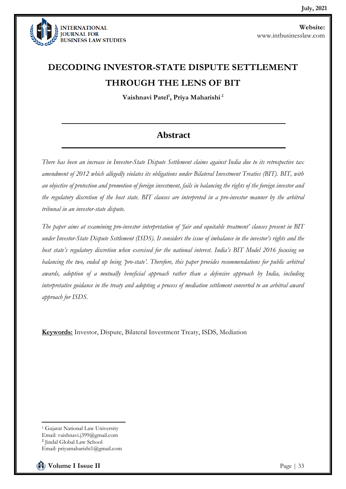

# **DECODING INVESTOR-STATE DISPUTE SETTLEMENT THROUGH THE LENS OF BIT**

**Vaishnavi Patel<sup>1</sup> , Priya Maharishi <sup>2</sup>**

### **Abstract**

*There has been an increase in Investor-State Dispute Settlement claims against India due to its retrospective tax amendment of 2012 which allegedly violates its obligations under Bilateral Investment Treaties (BIT). BIT, with an objective of protection and promotion of foreign investment, fails in balancing the rights of the foreign investor and the regulatory discretion of the host state. BIT clauses are interpreted in a pro-investor manner by the arbitral tribunal in an investor-state dispute.* 

*The paper aims at examining pro-investor interpretation of 'fair and equitable treatment' clauses present in BIT under Investor-State Dispute Settlement (ISDS). It considers the issue of imbalance in the investor's rights and the host state's regulatory discretion when exercised for the national interest. India's BIT Model 2016 focusing on balancing the two, ended up being 'pro-state'. Therefore, this paper provides recommendations for public arbitral awards, adoption of a mutually beneficial approach rather than a defensive approach by India, including interpretative guidance in the treaty and adopting a process of mediation settlement converted to an arbitral award approach for ISDS.*

**Keywords:** Investor, Dispute, Bilateral Investment Treaty, ISDS, Mediation

<sup>&</sup>lt;sup>1</sup> Gujarat National Law University Email: vaishnavi.j399@gmail.com 2 Jindal Global Law School Email: priyamaharishi1@gmail.com

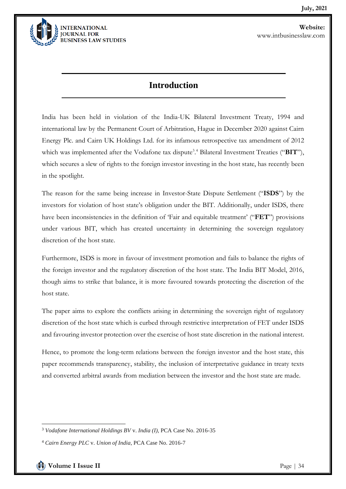

#### **Introduction**

India has been held in violation of the India-UK Bilateral Investment Treaty, 1994 and international law by the Permanent Court of Arbitration, Hague in December 2020 against Cairn Energy Plc. and Cairn UK Holdings Ltd. for its infamous retrospective tax amendment of 2012 which was implemented after the Vodafone tax dispute<sup>3</sup>.<sup>4</sup> Bilateral Investment Treaties ("BIT"), which secures a slew of rights to the foreign investor investing in the host state, has recently been in the spotlight.

The reason for the same being increase in Investor-State Dispute Settlement ("**ISDS**") by the investors for violation of host state's obligation under the BIT. Additionally, under ISDS, there have been inconsistencies in the definition of 'Fair and equitable treatment' ("**FET**") provisions under various BIT, which has created uncertainty in determining the sovereign regulatory discretion of the host state.

Furthermore, ISDS is more in favour of investment promotion and fails to balance the rights of the foreign investor and the regulatory discretion of the host state. The India BIT Model, 2016, though aims to strike that balance, it is more favoured towards protecting the discretion of the host state.

The paper aims to explore the conflicts arising in determining the sovereign right of regulatory discretion of the host state which is curbed through restrictive interpretation of FET under ISDS and favouring investor protection over the exercise of host state discretion in the national interest.

Hence, to promote the long-term relations between the foreign investor and the host state, this paper recommends transparency, stability, the inclusion of interpretative guidance in treaty texts and converted arbitral awards from mediation between the investor and the host state are made.

<sup>3</sup> *Vodafone International Holdings BV* v. *India (I)*, PCA Case No. 2016-35

<sup>4</sup> *Cairn Energy PLC* v. *Union of India*, PCA Case No. 2016-7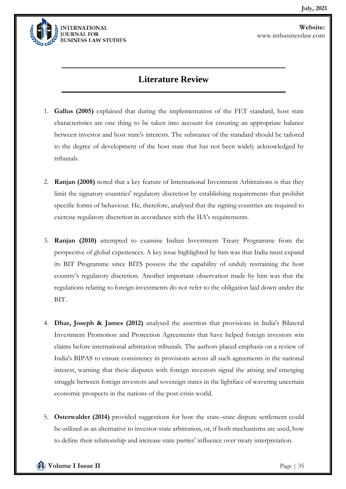

### **Literature Review**

- 1. **Gallus (2005)** explained that during the implementation of the FET standard, host state characteristics are one thing to be taken into account for ensuring an appropriate balance between investor and host state's interests. The substance of the standard should be tailored to the degree of development of the host state that has not been widely acknowledged by tribunals.
- 2. **Ranjan (2008)** noted that a key feature of International Investment Arbitrations is that they limit the signatory countries' regulatory discretion by establishing requirements that prohibit specific forms of behaviour. He, therefore, analysed that the signing countries are required to exercise regulatory discretion in accordance with the IIA's requirements.
- 3. **Ranjan (2010)** attempted to examine Indian Investment Treaty Programme from the perspective of global experiences. A key issue highlighted by him was that India must expand its BIT Programme since BITS possess the the capability of unduly restraining the host country's regulatory discretion. Another important observation made by him was that the regulations relating to foreign investments do not refer to the obligation laid down under the BIT.
- 4. **Dhar, Joseph & James (2012)** analysed the assertion that provisions in India's Bilateral Investment Promotion and Protection Agreements that have helped foreign investors win claims before international arbitration tribunals. The authors placed emphasis on a review of India's BIPAS to ensure consistency in provisions across all such agreements in the national interest, warning that these disputes with foreign investors signal the arising and emerging struggle between foreign investors and sovereign states in the lightface of wavering uncertain economic prospects in the nations of the post-crisis world.
- 5. **Osterwalder (2014)** provided suggestions for how the state–state dispute settlement could be utilized as an alternative to investor-state arbitration, or, if both mechanisms are used, how to define their relationship and increase state parties' influence over treaty interpretation.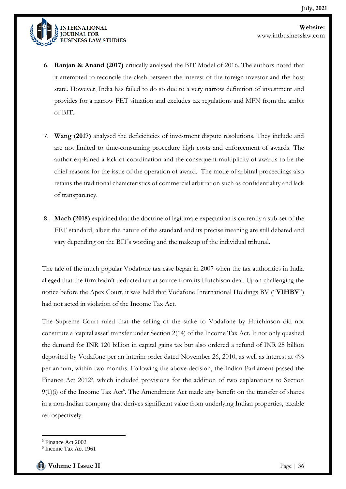

6. **Ranjan & Anand (2017)** critically analysed the BIT Model of 2016. The authors noted that it attempted to reconcile the clash between the interest of the foreign investor and the host state. However, India has failed to do so due to a very narrow definition of investment and provides for a narrow FET situation and excludes tax regulations and MFN from the ambit of BIT.

- 7. **Wang (2017)** analysed the deficiencies of investment dispute resolutions. They include and are not limited to time-consuming procedure high costs and enforcement of awards. The author explained a lack of coordination and the consequent multiplicity of awards to be the chief reasons for the issue of the operation of award. The mode of arbitral proceedings also retains the traditional characteristics of commercial arbitration such as confidentiality and lack of transparency.
- 8. **Mach (2018)** explained that the doctrine of legitimate expectation is currently a sub-set of the FET standard, albeit the nature of the standard and its precise meaning are still debated and vary depending on the BIT's wording and the makeup of the individual tribunal.

The tale of the much popular Vodafone tax case began in 2007 when the tax authorities in India alleged that the firm hadn't deducted tax at source from its Hutchison deal. Upon challenging the notice before the Apex Court, it was held that Vodafone International Holdings BV ("**VIHBV**") had not acted in violation of the Income Tax Act.

The Supreme Court ruled that the selling of the stake to Vodafone by Hutchinson did not constitute a 'capital asset' transfer under Section 2(14) of the Income Tax Act. It not only quashed the demand for INR 120 billion in capital gains tax but also ordered a refund of INR 25 billion deposited by Vodafone per an interim order dated November 26, 2010, as well as interest at 4% per annum, within two months. Following the above decision, the Indian Parliament passed the Finance Act 2012<sup>5</sup>, which included provisions for the addition of two explanations to Section  $9(1)(i)$  of the Income Tax Act<sup>6</sup>. The Amendment Act made any benefit on the transfer of shares in a non-Indian company that derives significant value from underlying Indian properties, taxable retrospectively.

<sup>5</sup> Finance Act 2002

<sup>6</sup> Income Tax Act 1961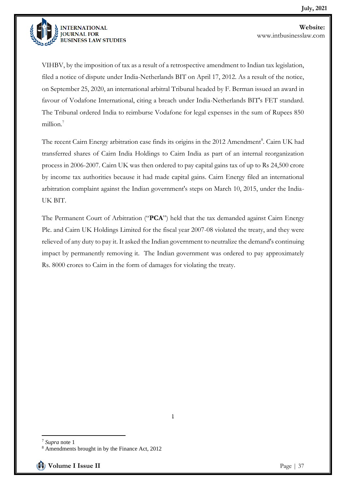

VIHBV, by the imposition of tax as a result of a retrospective amendment to Indian tax legislation, filed a notice of dispute under India-Netherlands BIT on April 17, 2012. As a result of the notice, on September 25, 2020, an international arbitral Tribunal headed by F. Berman issued an award in favour of Vodafone International, citing a breach under India-Netherlands BIT's FET standard. The Tribunal ordered India to reimburse Vodafone for legal expenses in the sum of Rupees 850 million.<sup>7</sup>

The recent Cairn Energy arbitration case finds its origins in the 2012 Amendment<sup>8</sup>. Cairn UK had transferred shares of Cairn India Holdings to Cairn India as part of an internal reorganization process in 2006-2007. Cairn UK was then ordered to pay capital gains tax of up to Rs 24,500 crore by income tax authorities because it had made capital gains. Cairn Energy filed an international arbitration complaint against the Indian government's steps on March 10, 2015, under the India-UK BIT.

The Permanent Court of Arbitration ("**PCA**") held that the tax demanded against Cairn Energy Plc. and Cairn UK Holdings Limited for the fiscal year 2007-08 violated the treaty, and they were relieved of any duty to pay it. It asked the Indian government to neutralize the demand's continuing impact by permanently removing it. The Indian government was ordered to pay approximately Rs. 8000 crores to Cairn in the form of damages for violating the treaty.

**<sup>]</sup>**

<sup>7</sup> *Supra* note 1

<sup>8</sup> Amendments brought in by the Finance Act, 2012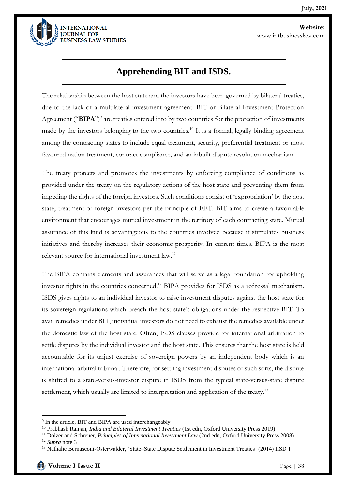

## **Apprehending BIT and ISDS.**

The relationship between the host state and the investors have been governed by bilateral treaties, due to the lack of a multilateral investment agreement. BIT or Bilateral Investment Protection Agreement ("BIPA")<sup>9</sup> are treaties entered into by two countries for the protection of investments made by the investors belonging to the two countries.<sup>10</sup> It is a formal, legally binding agreement among the contracting states to include equal treatment, security, preferential treatment or most favoured nation treatment, contract compliance, and an inbuilt dispute resolution mechanism.

The treaty protects and promotes the investments by enforcing compliance of conditions as provided under the treaty on the regulatory actions of the host state and preventing them from impeding the rights of the foreign investors. Such conditions consist of 'expropriation' by the host state, treatment of foreign investors per the principle of FET. BIT aims to create a favourable environment that encourages mutual investment in the territory of each contracting state. Mutual assurance of this kind is advantageous to the countries involved because it stimulates business initiatives and thereby increases their economic prosperity. In current times, BIPA is the most relevant source for international investment law.<sup>11</sup>

The BIPA contains elements and assurances that will serve as a legal foundation for upholding investor rights in the countries concerned.<sup>12</sup> BIPA provides for ISDS as a redressal mechanism. ISDS gives rights to an individual investor to raise investment disputes against the host state for its sovereign regulations which breach the host state's obligations under the respective BIT. To avail remedies under BIT, individual investors do not need to exhaust the remedies available under the domestic law of the host state. Often, ISDS clauses provide for international arbitration to settle disputes by the individual investor and the host state. This ensures that the host state is held accountable for its unjust exercise of sovereign powers by an independent body which is an international arbitral tribunal. Therefore, for settling investment disputes of such sorts, the dispute is shifted to a state-versus-investor dispute in ISDS from the typical state-versus-state dispute settlement, which usually are limited to interpretation and application of the treaty.<sup>13</sup>

<sup>&</sup>lt;sup>9</sup> In the article, BIT and BIPA are used interchangeably

<sup>10</sup> Prabhash Ranjan, *India and Bilateral Investment Treaties* (1st edn, Oxford University Press 2019)

<sup>11</sup> Dolzer and Schreuer, *Principles of International Investment Law* (2nd edn, Oxford University Press 2008) <sup>12</sup> *Supra* note 3

<sup>13</sup> Nathalie Bernasconi-Osterwalder, 'State–State Dispute Settlement in Investment Treaties' (2014) IISD 1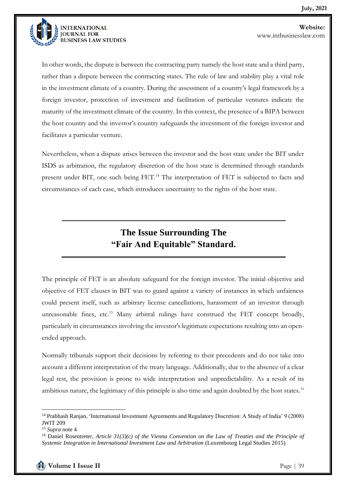

In other words, the dispute is between the contracting party namely the host state and a third party, rather than a dispute between the contracting states. The rule of law and stability play a vital role in the investment climate of a country. During the assessment of a country's legal framework by a foreign investor, protection of investment and facilitation of particular ventures indicate the maturity of the investment climate of the country. In this context, the presence of a BIPA between the host country and the investor's country safeguards the investment of the foreign investor and facilitates a particular venture.

Nevertheless, when a dispute arises between the investor and the host state under the BIT under ISDS as arbitration, the regulatory discretion of the host state is determined through standards present under BIT, one such being FET.<sup>14</sup> The interpretation of FET is subjected to facts and circumstances of each case, which introduces uncertainty to the rights of the host state.

### **The Issue Surrounding The "Fair And Equitable" Standard.**

The principle of FET is an absolute safeguard for the foreign investor. The initial objective and objective of FET clauses in BIT was to guard against a variety of instances in which unfairness could present itself, such as arbitrary license cancellations, harassment of an investor through unreasonable fines, etc.<sup>15</sup> Many arbitral rulings have construed the FET concept broadly, particularly in circumstances involving the investor's legitimate expectations resulting into an openended approach.

Normally tribunals support their decisions by referring to their precedents and do not take into account a different interpretation of the treaty language. Additionally, due to the absence of a clear legal test, the provision is prone to wide interpretation and unpredictability. As a result of its ambitious nature, the legitimacy of this principle is also time and again doubted by the host states.<sup>16</sup>

<sup>14</sup> Prabhash Ranjan, 'International Investment Agreements and Regulatory Discretion: A Study of India' 9 (2008) JWIT 209

<sup>15</sup> *Supra* note 4

<sup>16</sup> Daniel Rosentreter, *Article 31(3)(c) of the Vienna Convention on the Law of Treaties and the Principle of Systemic Integration in International Investment Law and Arbitration* (Luxembourg Legal Studies 2015)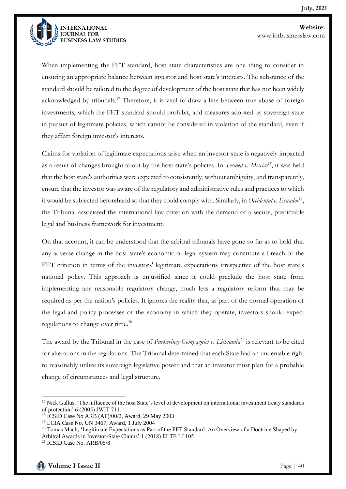

When implementing the FET standard, host state characteristics are one thing to consider in ensuring an appropriate balance between investor and host state's interests. The substance of the standard should be tailored to the degree of development of the host state that has not been widely acknowledged by tribunals.<sup>17</sup> Therefore, it is vital to draw a line between true abuse of foreign investments, which the FET standard should prohibit, and measures adopted by sovereign state in pursuit of legitimate policies, which cannot be considered in violation of the standard, even if they affect foreign investor's interests.

Claims for violation of legitimate expectations arise when an investor state is negatively impacted as a result of changes brought about by the host state's policies. In *Tecmed v. Mexico<sup>18</sup>*, it was held that the host state's authorities were expected to consistently, without ambiguity, and transparently, ensure that the investor was aware of the regulatory and administrative rules and practices to which it would be subjected beforehand so that they could comply with. Similarly, in *Occidental v. Ecuador*<sup>19</sup>, the Tribunal associated the international law criterion with the demand of a secure, predictable legal and business framework for investment.

On that account, it can be understood that the arbitral tribunals have gone so far as to hold that any adverse change in the host state's economic or legal system may constitute a breach of the FET criterion in terms of the investors' legitimate expectations irrespective of the host state's national policy. This approach is unjustified since it could preclude the host state from implementing any reasonable regulatory change, much less a regulatory reform that may be required as per the nation's policies. It ignores the reality that, as part of the normal operation of the legal and policy processes of the economy in which they operate, investors should expect regulations to change over time.<sup>20</sup>

The award by the Tribunal in the case of *Parkerings-Compagniet v. Lithuania*<sup>21</sup> is relevant to be cited for alterations in the regulations. The Tribunal determined that each State had an undeniable right to reasonably utilize its sovereign legislative power and that an investor must plan for a probable change of circumstances and legal structure.

<sup>&</sup>lt;sup>17</sup> Nick Gallus, 'The influence of the host State's level of development on international investment treaty standards of protection' 6 (2005) JWIT 711

<sup>18</sup> ICSID Case No ARB (AF)/00/2, Award, 29 May 2003

<sup>19</sup> LCIA Case No. UN 3467, Award, 1 July 2004

<sup>&</sup>lt;sup>20</sup> Tomas Mach, 'Legitimate Expectations as Part of the FET Standard: An Overview of a Doctrine Shaped by Arbitral Awards in Investor-State Claims' 1 (2018) ELTE LJ 105

<sup>21</sup> ICSID Case No. ARB/05/8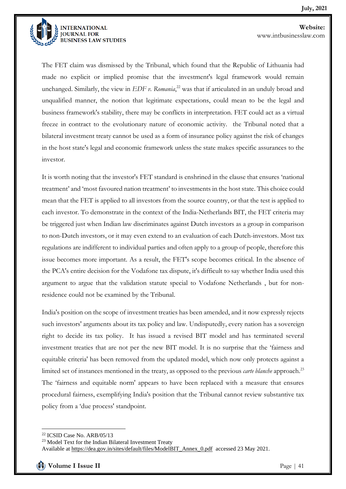

The FET claim was dismissed by the Tribunal, which found that the Republic of Lithuania had made no explicit or implied promise that the investment's legal framework would remain unchanged. Similarly, the view in *EDF v. Romania*, <sup>22</sup> was that if articulated in an unduly broad and unqualified manner, the notion that legitimate expectations, could mean to be the legal and business framework's stability, there may be conflicts in interpretation. FET could act as a virtual freeze in contract to the evolutionary nature of economic activity. the Tribunal noted that a bilateral investment treaty cannot be used as a form of insurance policy against the risk of changes in the host state's legal and economic framework unless the state makes specific assurances to the investor.

It is worth noting that the investor's FET standard is enshrined in the clause that ensures 'national treatment' and 'most favoured nation treatment' to investments in the host state. This choice could mean that the FET is applied to all investors from the source country, or that the test is applied to each investor. To demonstrate in the context of the India-Netherlands BIT, the FET criteria may be triggered just when Indian law discriminates against Dutch investors as a group in comparison to non-Dutch investors, or it may even extend to an evaluation of each Dutch-investors. Most tax regulations are indifferent to individual parties and often apply to a group of people, therefore this issue becomes more important. As a result, the FET's scope becomes critical. In the absence of the PCA's entire decision for the Vodafone tax dispute, it's difficult to say whether India used this argument to argue that the validation statute special to Vodafone Netherlands , but for nonresidence could not be examined by the Tribunal.

India's position on the scope of investment treaties has been amended, and it now expressly rejects such investors' arguments about its tax policy and law. Undisputedly, every nation has a sovereign right to decide its tax policy. It has issued a revised BIT model and has terminated several investment treaties that are not per the new BIT model. It is no surprise that the 'fairness and equitable criteria' has been removed from the updated model, which now only protects against a limited set of instances mentioned in the treaty, as opposed to the previous *carte blanche* approach.<sup>23</sup> The 'fairness and equitable norm' appears to have been replaced with a measure that ensures procedural fairness, exemplifying India's position that the Tribunal cannot review substantive tax policy from a 'due process' standpoint.

<sup>22</sup> ICSID Case No. ARB/05/13

<sup>23</sup> Model Text for the Indian Bilateral Investment Treaty

Available at [https://dea.gov.in/sites/default/files/ModelBIT\\_Annex\\_0.pdf](https://dea.gov.in/sites/default/files/ModelBIT_Annex_0.pdf) accessed 23 May 2021.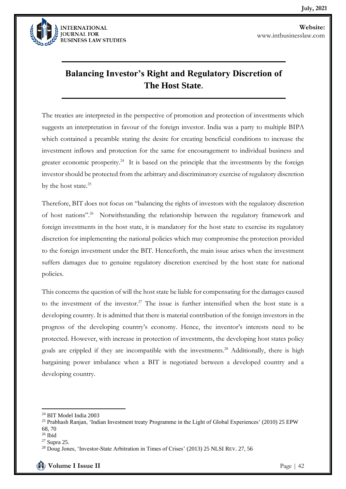

# **Balancing Investor's Right and Regulatory Discretion of The Host State.**

The treaties are interpreted in the perspective of promotion and protection of investments which suggests an interpretation in favour of the foreign investor. India was a party to multiple BIPA which contained a preamble stating the desire for creating beneficial conditions to increase the investment inflows and protection for the same for encouragement to individual business and greater economic prosperity.<sup>24</sup> It is based on the principle that the investments by the foreign investor should be protected from the arbitrary and discriminatory exercise of regulatory discretion by the host state.<sup>25</sup>

Therefore, BIT does not focus on "balancing the rights of investors with the regulatory discretion of host nations".<sup>26</sup> Notwithstanding the relationship between the regulatory framework and foreign investments in the host state, it is mandatory for the host state to exercise its regulatory discretion for implementing the national policies which may compromise the protection provided to the foreign investment under the BIT. Henceforth, the main issue arises when the investment suffers damages due to genuine regulatory discretion exercised by the host state for national policies.

This concerns the question of will the host state be liable for compensating for the damages caused to the investment of the investor.<sup>27</sup> The issue is further intensified when the host state is a developing country. It is admitted that there is material contribution of the foreign investors in the progress of the developing country's economy. Hence, the inventor's interests need to be protected. However, with increase in protection of investments, the developing host states policy goals are crippled if they are incompatible with the investments.<sup>28</sup> Additionally, there is high bargaining power imbalance when a BIT is negotiated between a developed country and a developing country.

<sup>24</sup> BIT Model India 2003

<sup>&</sup>lt;sup>25</sup> Prabhash Ranjan, 'Indian Investment treaty Programme in the Light of Global Experiences' (2010) 25 EPW 68, 70

<sup>26</sup> Ibid

<sup>27</sup> Supra 25.

<sup>&</sup>lt;sup>28</sup> Doug Jones, 'Investor-State Arbitration in Times of Crises' (2013) 25 NLSI REV. 27, 56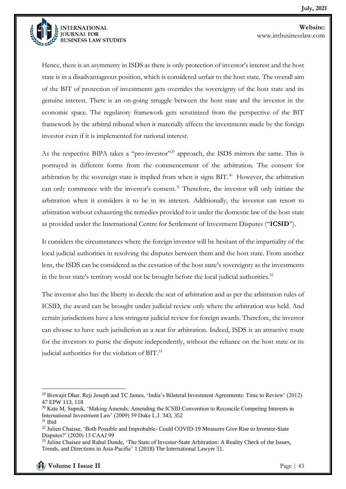

Hence, there is an asymmetry in ISDS as there is only protection of investor's interest and the host state is in a disadvantageous position, which is considered unfair to the host state. The overall aim of the BIT of protection of investments gets overrides the sovereignty of the host state and its genuine interest. There is an on-going struggle between the host state and the investor in the economic space. The regulatory framework gets scrutinized from the perspective of the BIT framework by the arbitral tribunal when it materially affects the investments made by the foreign investor even if it is implemented for national interest.

As the respective BIPA takes a "pro-investor"<sup>29</sup> approach, the ISDS mirrors the same. This is portrayed in different forms from the commencement of the arbitration. The consent for arbitration by the sovereign state is implied from when it signs  $BIT.^30$  However, the arbitration can only commence with the investor's consent.<sup>31</sup> Therefore, the investor will only initiate the arbitration when it considers it to be in its interest. Additionally, the investor can resort to arbitration without exhausting the remedies provided to it under the domestic law of the host state as provided under the International Centre for Settlement of Investment Disputes ("**ICSID**").

It considers the circumstances where the foreign investor will be hesitant of the impartiality of the local judicial authorities in resolving the disputes between them and the host state. From another lens, the ISDS can be considered as the cessation of the host state's sovereignty as the investments in the host state's territory would not be brought before the local judicial authorities. $32$ 

The investor also has the liberty to decide the seat of arbitration and as per the arbitration rules of ICSID, the award can be brought under judicial review only where the arbitration was held. And certain jurisdictions have a less stringent judicial review for foreign awards. Therefore, the investor can choose to have such jurisdiction as a seat for arbitration. Indeed, ISDS is an attractive route for the investors to purse the dispute independently, without the reliance on the host state or its judicial authorities for the violation of BIT.<sup>33</sup>

<sup>29</sup> Biswajit Dhar, Reji Joseph and TC James, 'India's Bilateral Investment Agreements: Time to Review' (2012) 47 EPW 113, 118

<sup>&</sup>lt;sup>30</sup> Kate M. Supnik, 'Making Amends: Amending the ICSID Convention to Reconcile Competing Interests in International Investment Law' (2009) 59 Duke L.J. 343, 352

 $31$  Ibid

<sup>&</sup>lt;sup>32</sup> Julien Chaisse, 'Both Possible and Improbable- Could COVID-19 Measures Give Rise to Investor-State Disputes?' (2020) 13 CAAJ 99

<sup>&</sup>lt;sup>33</sup> Juline Chaisee and Rahul Donde, 'The State of Investor-State Arbitration: A Reality Check of the Issues, Trends, and Directions in Asia-Pacific' 1 (2018) The International Lawyer 51.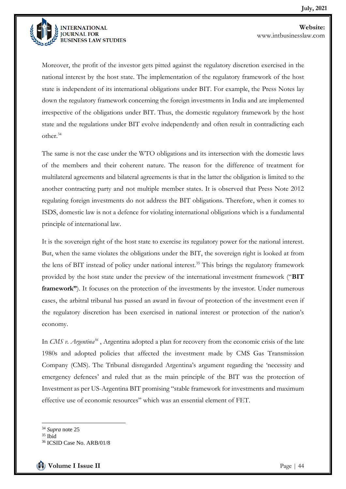

Moreover, the profit of the investor gets pitted against the regulatory discretion exercised in the national interest by the host state. The implementation of the regulatory framework of the host state is independent of its international obligations under BIT. For example, the Press Notes lay down the regulatory framework concerning the foreign investments in India and are implemented irrespective of the obligations under BIT. Thus, the domestic regulatory framework by the host state and the regulations under BIT evolve independently and often result in contradicting each other.<sup>34</sup>

The same is not the case under the WTO obligations and its intersection with the domestic laws of the members and their coherent nature. The reason for the difference of treatment for multilateral agreements and bilateral agreements is that in the latter the obligation is limited to the another contracting party and not multiple member states. It is observed that Press Note 2012 regulating foreign investments do not address the BIT obligations. Therefore, when it comes to ISDS, domestic law is not a defence for violating international obligations which is a fundamental principle of international law.

It is the sovereign right of the host state to exercise its regulatory power for the national interest. But, when the same violates the obligations under the BIT, the sovereign right is looked at from the lens of BIT instead of policy under national interest.<sup>35</sup> This brings the regulatory framework provided by the host state under the preview of the international investment framework ("**BIT framework"**). It focuses on the protection of the investments by the investor. Under numerous cases, the arbitral tribunal has passed an award in favour of protection of the investment even if the regulatory discretion has been exercised in national interest or protection of the nation's economy.

In *CMS v. Argentina<sup>36</sup>* , Argentina adopted a plan for recovery from the economic crisis of the late 1980s and adopted policies that affected the investment made by CMS Gas Transmission Company (CMS). The Tribunal disregarded Argentina's argument regarding the 'necessity and emergency defences' and ruled that as the main principle of the BIT was the protection of Investment as per US-Argentina BIT promising "stable framework for investments and maximum effective use of economic resources" which was an essential element of FET.

<sup>34</sup> *Supra* note 25

 $35$  Ibid

<sup>36</sup> ICSID Case No. ARB/01/8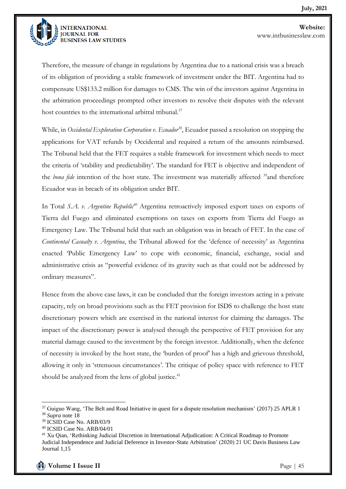

Therefore, the measure of change in regulations by Argentina due to a national crisis was a breach of its obligation of providing a stable framework of investment under the BIT. Argentina had to compensate US\$133.2 million for damages to CMS. The win of the investors against Argentina in the arbitration proceedings prompted other investors to resolve their disputes with the relevant host countries to the international arbitral tribunal.<sup>37</sup>

While, in *Occidental Exploration Corporation v. Ecuador<sup>38</sup>*, Ecuador passed a resolution on stopping the applications for VAT refunds by Occidental and required a return of the amounts reimbursed. The Tribunal held that the FET requires a stable framework for investment which needs to meet the criteria of 'stability and predictability'. The standard for FET is objective and independent of the *bona fide* intention of the host state. The investment was materially affected <sup>39</sup>and therefore Ecuador was in breach of its obligation under BIT.

In Total *S.A. v. Argentine Republic<sup>40</sup>* Argentina retroactively imposed export taxes on exports of Tierra del Fuego and eliminated exemptions on taxes on exports from Tierra del Fuego as Emergency Law. The Tribunal held that such an obligation was in breach of FET. In the case of *Continental Casualty v. Argentina*, the Tribunal allowed for the 'defence of necessity' as Argentina enacted 'Public Emergency Law' to cope with economic, financial, exchange, social and administrative crisis as "powerful evidence of its gravity such as that could not be addressed by ordinary measures".

Hence from the above case laws, it can be concluded that the foreign investors acting in a private capacity, rely on broad provisions such as the FET provision for ISDS to challenge the host state discretionary powers which are exercised in the national interest for claiming the damages. The impact of the discretionary power is analysed through the perspective of FET provision for any material damage caused to the investment by the foreign investor. Additionally, when the defence of necessity is invoked by the host state, the 'burden of proof' has a high and grievous threshold, allowing it only in 'strenuous circumstances'. The critique of policy space with reference to FET should be analyzed from the lens of global justice.<sup>41</sup>

<sup>&</sup>lt;sup>37</sup> Guiguo Wang, 'The Belt and Road Initiative in quest for a dispute resolution mechanism' (2017) 25 APLR 1 <sup>38</sup> *Supra* note 18

<sup>39</sup> ICSID Case No. ARB/03/9

<sup>40</sup> ICSID Case No. ARB/04/01

<sup>41</sup> Xu Qian, 'Rethinking Judicial Discretion in International Adjudication: A Critical Roadmap to Promote Judicial Independence and Judicial Deference in Investor-State Arbitration' (2020) 21 UC Davis Business Law Journal 1,15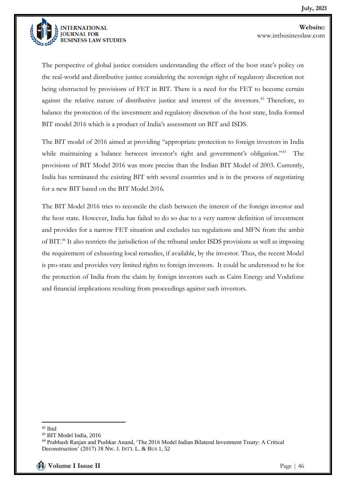

The perspective of global justice considers understanding the effect of the host state's policy on the real-world and distributive justice considering the sovereign right of regulatory discretion not being obstructed by provisions of FET in BIT. There is a need for the FET to become certain against the relative nature of distributive justice and interest of the investors.<sup>42</sup> Therefore, to balance the protection of the investment and regulatory discretion of the host state, India formed BIT model 2016 which is a product of India's assessment on BIT and ISDS.

The BIT model of 2016 aimed at providing "appropriate protection to foreign investors in India while maintaining a balance between investor's right and government's obligation."<sup>43</sup> The provisions of BIT Model 2016 was more precise than the Indian BIT Model of 2003. Currently, India has terminated the existing BIT with several countries and is in the process of negotiating for a new BIT based on the BIT Model 2016.

The BIT Model 2016 tries to reconcile the clash between the interest of the foreign investor and the host state. However, India has failed to do so due to a very narrow definition of investment and provides for a narrow FET situation and excludes tax regulations and MFN from the ambit of BIT.<sup>44</sup> It also restricts the jurisdiction of the tribunal under ISDS provisions as well as imposing the requirement of exhausting local remedies, if available, by the investor. Thus, the recent Model is pro-state and provides very limited rights to foreign investors. It could be understood to be for the protection of India from the claim by foreign investors such as Cairn Energy and Vodafone and financial implications resulting from proceedings against such investors.

<sup>42</sup> Ibid

<sup>43</sup> BIT Model India, 2016

<sup>44</sup> Prabhash Ranjan and Pushkar Anand, 'The 2016 Model Indian Bilateral Investment Treaty: A Critical Deconstruction' (2017) 38 NW. J. INT'L L. & BUS 1, 52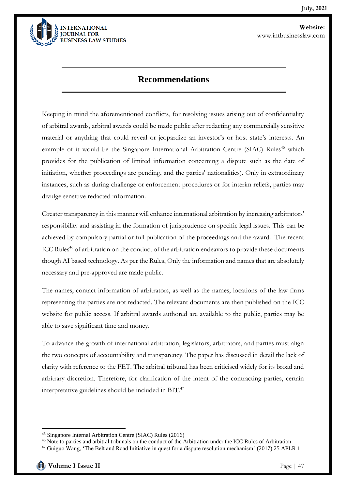

#### **Recommendations**

Keeping in mind the aforementioned conflicts, for resolving issues arising out of confidentiality of arbitral awards, arbitral awards could be made public after redacting any commercially sensitive material or anything that could reveal or jeopardize an investor's or host state's interests. An example of it would be the Singapore International Arbitration Centre (SIAC) Rules<sup>45</sup> which provides for the publication of limited information concerning a dispute such as the date of initiation, whether proceedings are pending, and the parties' nationalities). Only in extraordinary instances, such as during challenge or enforcement procedures or for interim reliefs, parties may divulge sensitive redacted information.

Greater transparency in this manner will enhance international arbitration by increasing arbitrators' responsibility and assisting in the formation of jurisprudence on specific legal issues. This can be achieved by compulsory partial or full publication of the proceedings and the award. The recent ICC Rules<sup>46</sup> of arbitration on the conduct of the arbitration endeavors to provide these documents though AI based technology. As per the Rules, Only the information and names that are absolutely necessary and pre-approved are made public.

The names, contact information of arbitrators, as well as the names, locations of the law firms representing the parties are not redacted. The relevant documents are then published on the ICC website for public access. If arbitral awards authored are available to the public, parties may be able to save significant time and money.

To advance the growth of international arbitration, legislators, arbitrators, and parties must align the two concepts of accountability and transparency. The paper has discussed in detail the lack of clarity with reference to the FET. The arbitral tribunal has been criticised widely for its broad and arbitrary discretion. Therefore, for clarification of the intent of the contracting parties, certain interpretative guidelines should be included in BIT.<sup>47</sup>

<sup>45</sup> Singapore Internal Arbitration Centre (SIAC) Rules (2016)

<sup>&</sup>lt;sup>46</sup> Note to parties and arbitral tribunals on the conduct of the Arbitration under the ICC Rules of Arbitration

<sup>&</sup>lt;sup>47</sup> Guiguo Wang, 'The Belt and Road Initiative in quest for a dispute resolution mechanism' (2017) 25 APLR 1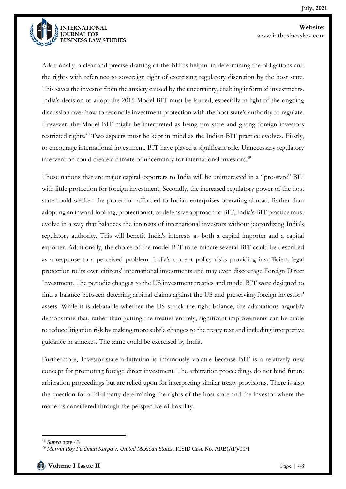

Additionally, a clear and precise drafting of the BIT is helpful in determining the obligations and the rights with reference to sovereign right of exercising regulatory discretion by the host state. This saves the investor from the anxiety caused by the uncertainty, enabling informed investments. India's decision to adopt the 2016 Model BIT must be lauded, especially in light of the ongoing discussion over how to reconcile investment protection with the host state's authority to regulate. However, the Model BIT might be interpreted as being pro-state and giving foreign investors restricted rights.<sup>48</sup> Two aspects must be kept in mind as the Indian BIT practice evolves. Firstly, to encourage international investment, BIT have played a significant role. Unnecessary regulatory intervention could create a climate of uncertainty for international investors.<sup>49</sup>

Those nations that are major capital exporters to India will be uninterested in a "pro-state" BIT with little protection for foreign investment. Secondly, the increased regulatory power of the host state could weaken the protection afforded to Indian enterprises operating abroad. Rather than adopting an inward-looking, protectionist, or defensive approach to BIT, India's BIT practice must evolve in a way that balances the interests of international investors without jeopardizing India's regulatory authority. This will benefit India's interests as both a capital importer and a capital exporter. Additionally, the choice of the model BIT to terminate several BIT could be described as a response to a perceived problem. India's current policy risks providing insufficient legal protection to its own citizens' international investments and may even discourage Foreign Direct Investment. The periodic changes to the US investment treaties and model BIT were designed to find a balance between deterring arbitral claims against the US and preserving foreign investors' assets. While it is debatable whether the US struck the right balance, the adaptations arguably demonstrate that, rather than gutting the treaties entirely, significant improvements can be made to reduce litigation risk by making more subtle changes to the treaty text and including interpretive guidance in annexes. The same could be exercised by India.

Furthermore, Investor-state arbitration is infamously volatile because BIT is a relatively new concept for promoting foreign direct investment. The arbitration proceedings do not bind future arbitration proceedings but are relied upon for interpreting similar treaty provisions. There is also the question for a third party determining the rights of the host state and the investor where the matter is considered through the perspective of hostility.

<sup>48</sup> *Supra* note 43

*<sup>49</sup> Marvin Roy Feldman Karpa v. United Mexican States*, ICSID Case No. ARB(AF)/99/1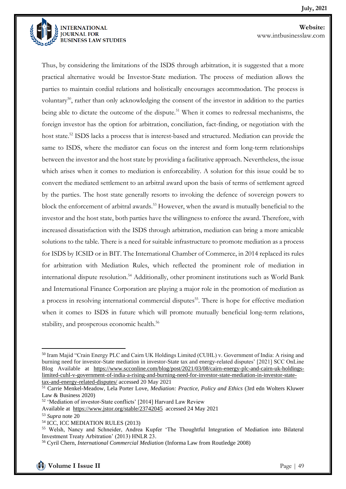

**Website:**  www.intbusinesslaw.com

Thus, by considering the limitations of the ISDS through arbitration, it is suggested that a more practical alternative would be Investor-State mediation. The process of mediation allows the parties to maintain cordial relations and holistically encourages accommodation. The process is voluntary<sup>50</sup>, rather than only acknowledging the consent of the investor in addition to the parties being able to dictate the outcome of the dispute.<sup>51</sup> When it comes to redressal mechanisms, the foreign investor has the option for arbitration, conciliation, fact-finding, or negotiation with the host state.<sup>52</sup> ISDS lacks a process that is interest-based and structured. Mediation can provide the same to ISDS, where the mediator can focus on the interest and form long-term relationships between the investor and the host state by providing a facilitative approach. Nevertheless, the issue which arises when it comes to mediation is enforceability. A solution for this issue could be to convert the mediated settlement to an arbitral award upon the basis of terms of settlement agreed by the parties. The host state generally resorts to invoking the defence of sovereign powers to block the enforcement of arbitral awards.<sup>53</sup> However, when the award is mutually beneficial to the investor and the host state, both parties have the willingness to enforce the award. Therefore, with increased dissatisfaction with the ISDS through arbitration, mediation can bring a more amicable solutions to the table. There is a need for suitable infrastructure to promote mediation as a process for ISDS by ICSID or in BIT. The International Chamber of Commerce, in 2014 replaced its rules for arbitration with Mediation Rules, which reflected the prominent role of mediation in international dispute resolution.<sup>54</sup> Additionally, other prominent institutions such as World Bank and International Finance Corporation are playing a major role in the promotion of mediation as a process in resolving international commercial disputes<sup>55</sup>. There is hope for effective mediation when it comes to ISDS in future which will promote mutually beneficial long-term relations, stability, and prosperous economic health.<sup>56</sup>

<sup>50</sup> Iram Majid "Crain Energy PLC and Cairn UK Holdings Limited (CUHL) v. Government of India: A rising and burning need for investor-State mediation in investor-State tax and energy-related disputes' [2021] SCC OnLine Blog Available at [https://www.scconline.com/blog/post/2021/03/08/cairn-energy-plc-and-cairn-uk-holdings](https://www.scconline.com/blog/post/2021/03/08/cairn-energy-plc-and-cairn-uk-holdings-limited-cuhl-v-government-of-india-a-rising-and-burning-need-for-investor-state-mediation-in-investor-state-tax-and-energy-related-disputes/)[limited-cuhl-v-government-of-india-a-rising-and-burning-need-for-investor-state-mediation-in-investor-state](https://www.scconline.com/blog/post/2021/03/08/cairn-energy-plc-and-cairn-uk-holdings-limited-cuhl-v-government-of-india-a-rising-and-burning-need-for-investor-state-mediation-in-investor-state-tax-and-energy-related-disputes/)[tax-and-energy-related-disputes/](https://www.scconline.com/blog/post/2021/03/08/cairn-energy-plc-and-cairn-uk-holdings-limited-cuhl-v-government-of-india-a-rising-and-burning-need-for-investor-state-mediation-in-investor-state-tax-and-energy-related-disputes/) accessed 20 May 2021

<sup>51</sup> Carrie Menkel-Meadow, Lela Porter Love, *Mediation: Practice, Policy and Ethics* (3rd edn Wolters Kluwer Law & Business 2020)

<sup>52</sup> 'Mediation of investor-State conflicts' [2014] Harvard Law Review

[Available at https://www.jstor.org/stable/23742045](https://www.jstor.org/stable/23742045) accessed 24 May 2021

<sup>53</sup> *Supra* note 20

<sup>54</sup> ICC, ICC MEDIATION RULES (2013)

<sup>55</sup> Welsh, Nancy and Schneider, Andrea Kupfer 'The Thoughtful Integration of Mediation into Bilateral Investment Treaty Arbitration' (2013) HNLR 23.

<sup>56</sup> Cyril Chern, *International Commercial Mediation* (Informa Law from Routledge 2008)